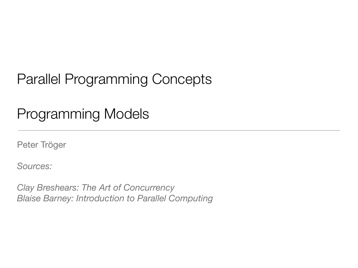# Parallel Programming Concepts

# Programming Models

Peter Tröger

*Sources:*

*Clay Breshears: The Art of Concurrency Blaise Barney: Introduction to Parallel Computing*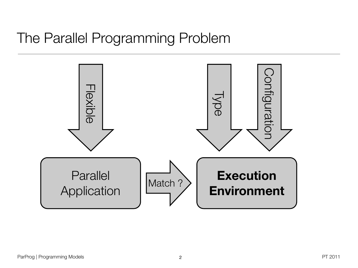## The Parallel Programming Problem

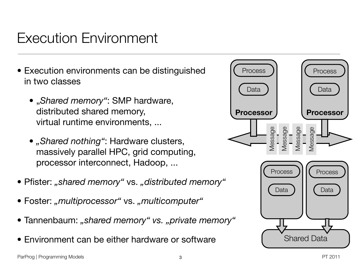# Execution Environment

- Execution environments can be distinguished in two classes
	- "*Shared memory"*: SMP hardware, distributed shared memory, virtual runtime environments, ...
	- "Shared nothing": Hardware clusters, massively parallel HPC, grid computing, processor interconnect, Hadoop, ...
- Pfister: "shared memory" vs. "distributed memory"
- Foster: "multiprocessor" vs. "multicomputer"
- Tannenbaum: *"shared memory" vs. "private memory"*
- Environment can be either hardware or software

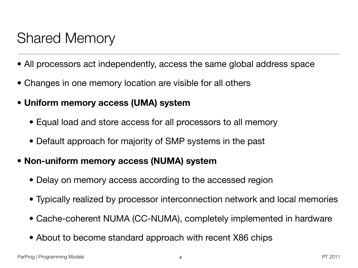# Shared Memory

- All processors act independently, access the same global address space
- Changes in one memory location are visible for all others
- **• Uniform memory access (UMA) system**
	- Equal load and store access for all processors to all memory
	- Default approach for majority of SMP systems in the past
- **• Non-uniform memory access (NUMA) system**
	- Delay on memory access according to the accessed region
	- Typically realized by processor interconnection network and local memories
	- Cache-coherent NUMA (CC-NUMA), completely implemented in hardware
	- About to become standard approach with recent X86 chips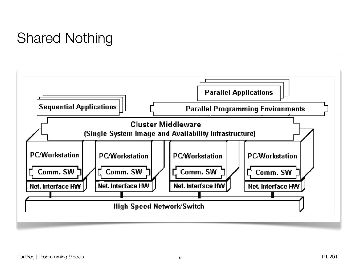# Shared Nothing

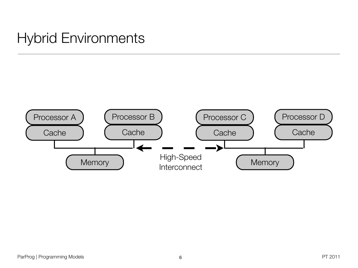# Hybrid Environments

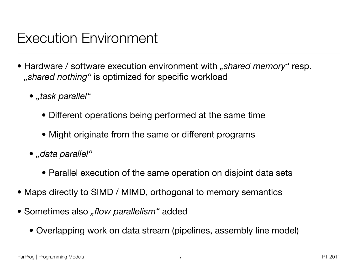# Execution Environment

- Hardware / software execution environment with *"shared memory*" resp. *"shared nothing"* is optimized for specific workload
	- *• "task parallel"*
		- *•* Different operations being performed at the same time
		- *•* Might originate from the same or different programs
	- *• "data parallel"*
		- *•* Parallel execution of the same operation on disjoint data sets
- *•* Maps directly to SIMD / MIMD, orthogonal to memory semantics
- Sometimes also *"flow parallelism"* added
	- *•* Overlapping work on data stream (pipelines, assembly line model)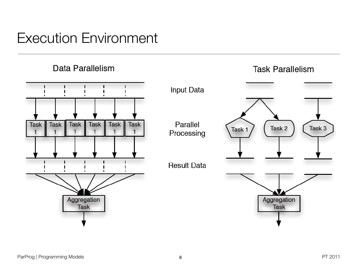

#### Execution Environment  $\mathcal{L}$

Data Parallelism



#### **Task Parallelism**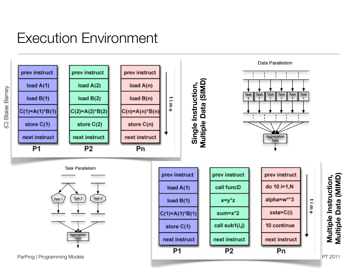# Execution Environment



**Blaise Barney** (C) Blaise Barney  $\odot$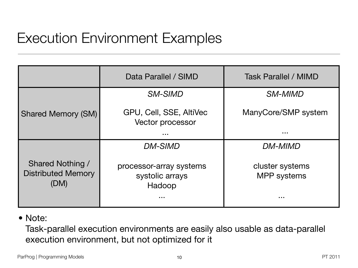# Execution Environment Examples

|                                                       | Data Parallel / SIMD                                         | <b>Task Parallel / MIMD</b>                                  |
|-------------------------------------------------------|--------------------------------------------------------------|--------------------------------------------------------------|
|                                                       | <b>SM-SIMD</b>                                               | <b>SM-MIMD</b>                                               |
| <b>Shared Memory (SM)</b>                             | GPU, Cell, SSE, AltiVec<br><b>Vector processor</b>           | ManyCore/SMP system                                          |
|                                                       | $\begin{array}{ccc} \bullet & \bullet & \bullet \end{array}$ | $\begin{array}{ccc} \bullet & \bullet & \bullet \end{array}$ |
|                                                       | <b>DM-SIMD</b>                                               | <b>DM-MIMD</b>                                               |
| Shared Nothing /<br><b>Distributed Memory</b><br>(DM) | processor-array systems<br>systolic arrays<br>Hadoop<br>.    | cluster systems<br><b>MPP</b> systems<br>.                   |
|                                                       |                                                              |                                                              |

#### • Note:

Task-parallel execution environments are easily also usable as data-parallel execution environment, but not optimized for it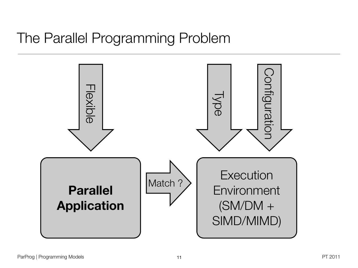## The Parallel Programming Problem

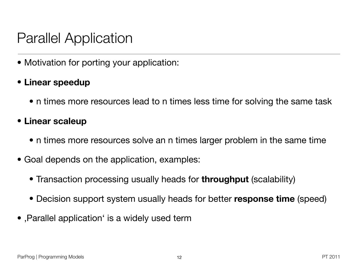## Parallel Application

• Motivation for porting your application:

### • **Linear speedup**

• n times more resources lead to n times less time for solving the same task

#### • **Linear scaleup**

- n times more resources solve an n times larger problem in the same time
- Goal depends on the application, examples:
	- Transaction processing usually heads for **throughput** (scalability)
	- Decision support system usually heads for better **response time** (speed)
- ,Parallel application' is a widely used term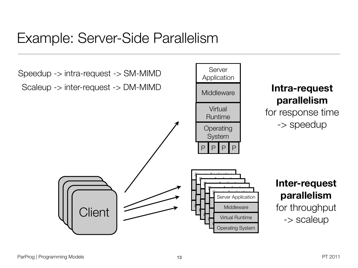### Example: Server-Side Parallelism

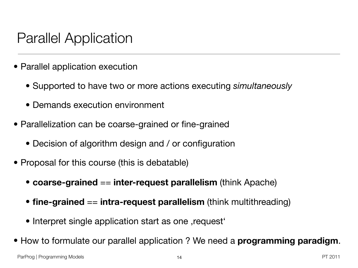### Parallel Application

- Parallel application execution
	- Supported to have two or more actions executing *simultaneously*
	- Demands execution environment
- Parallelization can be coarse-grained or fine-grained
	- Decision of algorithm design and / or configuration
- Proposal for this course (this is debatable)
	- **coarse-grained** == **inter-request parallelism** (think Apache)
	- **fine-grained** == **intra-request parallelism** (think multithreading)
	- Interpret single application start as one , request •
- How to formulate our parallel application ? We need a **programming paradigm**.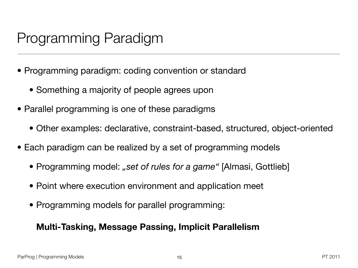# Programming Paradigm

- Programming paradigm: coding convention or standard
	- Something a majority of people agrees upon
- Parallel programming is one of these paradigms
	- Other examples: declarative, constraint-based, structured, object-oriented
- Each paradigm can be realized by a set of programming models
	- Programming model: "set of rules for a game" [Almasi, Gottlieb]
	- Point where execution environment and application meet
	- Programming models for parallel programming:

#### **Multi-Tasking, Message Passing, Implicit Parallelism**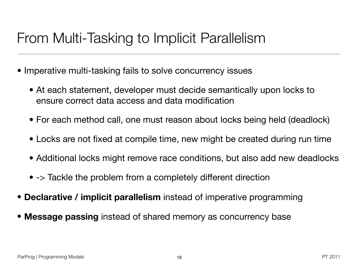# From Multi-Tasking to Implicit Parallelism

- Imperative multi-tasking fails to solve concurrency issues
	- At each statement, developer must decide semantically upon locks to ensure correct data access and data modification
	- For each method call, one must reason about locks being held (deadlock)
	- Locks are not fixed at compile time, new might be created during run time
	- Additional locks might remove race conditions, but also add new deadlocks
	- -> Tackle the problem from a completely different direction
- **Declarative / implicit parallelism** instead of imperative programming
- **Message passing** instead of shared memory as concurrency base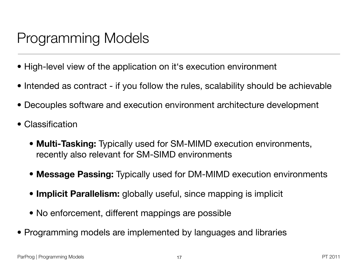# Programming Models

- High-level view of the application on it's execution environment
- Intended as contract if you follow the rules, scalability should be achievable
- Decouples software and execution environment architecture development
- Classification
	- **Multi-Tasking:** Typically used for SM-MIMD execution environments, recently also relevant for SM-SIMD environments
	- **Message Passing:** Typically used for DM-MIMD execution environments
	- **Implicit Parallelism:** globally useful, since mapping is implicit
	- No enforcement, different mappings are possible
- Programming models are implemented by languages and libraries